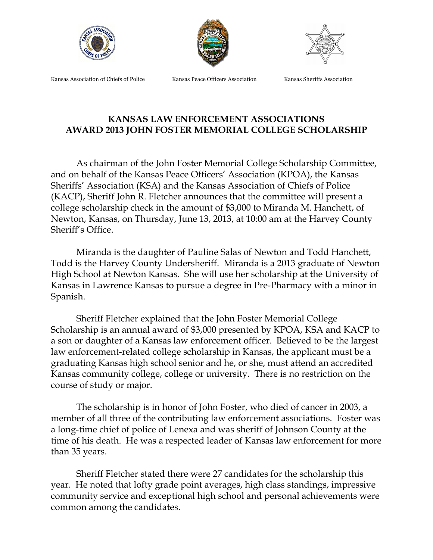





Kansas Association of Chiefs of Police Kansas Peace Officers Association Kansas Sheriffs Association

## **KANSAS LAW ENFORCEMENT ASSOCIATIONS AWARD 2013 JOHN FOSTER MEMORIAL COLLEGE SCHOLARSHIP**

As chairman of the John Foster Memorial College Scholarship Committee, and on behalf of the Kansas Peace Officers' Association (KPOA), the Kansas Sheriffs' Association (KSA) and the Kansas Association of Chiefs of Police (KACP), Sheriff John R. Fletcher announces that the committee will present a college scholarship check in the amount of \$3,000 to Miranda M. Hanchett, of Newton, Kansas, on Thursday, June 13, 2013, at 10:00 am at the Harvey County Sheriff's Office.

Miranda is the daughter of Pauline Salas of Newton and Todd Hanchett, Todd is the Harvey County Undersheriff. Miranda is a 2013 graduate of Newton High School at Newton Kansas. She will use her scholarship at the University of Kansas in Lawrence Kansas to pursue a degree in Pre-Pharmacy with a minor in Spanish.

Sheriff Fletcher explained that the John Foster Memorial College Scholarship is an annual award of \$3,000 presented by KPOA, KSA and KACP to a son or daughter of a Kansas law enforcement officer. Believed to be the largest law enforcement-related college scholarship in Kansas, the applicant must be a graduating Kansas high school senior and he, or she, must attend an accredited Kansas community college, college or university. There is no restriction on the course of study or major.

The scholarship is in honor of John Foster, who died of cancer in 2003, a member of all three of the contributing law enforcement associations. Foster was a long-time chief of police of Lenexa and was sheriff of Johnson County at the time of his death. He was a respected leader of Kansas law enforcement for more than 35 years.

Sheriff Fletcher stated there were 27 candidates for the scholarship this year. He noted that lofty grade point averages, high class standings, impressive community service and exceptional high school and personal achievements were common among the candidates.